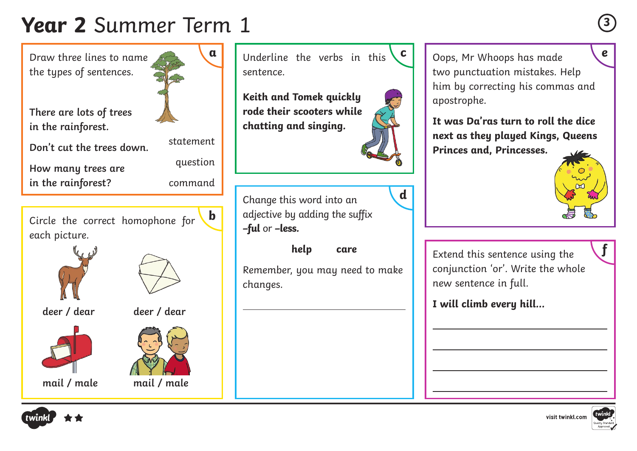## **Year 2** Summer Term 1 **<sup>3</sup>**

Draw three lines to name the types of sentences.

**There are lots of trees in the rainforest.**



**Don't cut the trees down.**

statement

**How many trees are in the rainforest?**

question command

Circle the correct homophone for each picture. **b**





deer / dear deer / dear









 $\overline{a}$ 

**a** Underline the verbs in this **c** | Oops, Mr Whoops has made **c** sentence.

**Keith and Tomek quickly rode their scooters while chatting and singing.**



**d**

Change this word into an adjective by adding the suffix **–ful** or **–less.** 

**help care**

Remember, you may need to make changes.

Oops, Mr Whoops has made two punctuation mistakes. Help him by correcting his commas and apostrophe.

**It was Da'ras turn to roll the dice next as they played Kings, Queens Princes and, Princesses.**



**f**

Extend this sentence using the conjunction 'or'. Write the whole new sentence in full.

**I will climb every hill...**

 $\overline{a}$ 

 $\overline{a}$ 

 $\overline{a}$